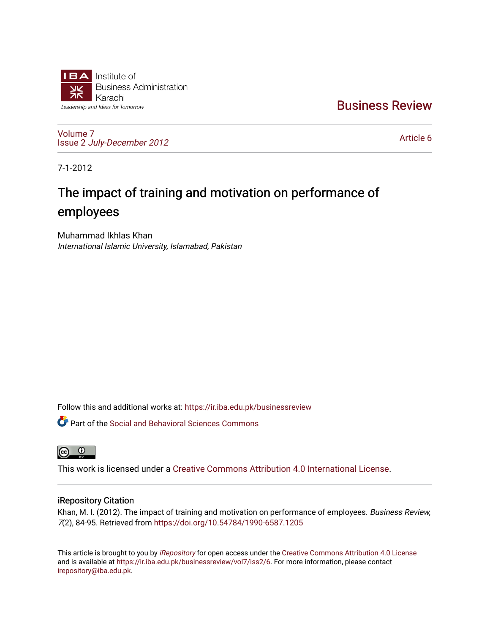

[Business Review](https://ir.iba.edu.pk/businessreview) 

[Volume 7](https://ir.iba.edu.pk/businessreview/vol7) Issue 2 [July-December 2012](https://ir.iba.edu.pk/businessreview/vol7/iss2)

[Article 6](https://ir.iba.edu.pk/businessreview/vol7/iss2/6) 

7-1-2012

# The impact of training and motivation on performance of employees

Muhammad Ikhlas Khan International Islamic University, Islamabad, Pakistan

Follow this and additional works at: [https://ir.iba.edu.pk/businessreview](https://ir.iba.edu.pk/businessreview?utm_source=ir.iba.edu.pk%2Fbusinessreview%2Fvol7%2Fiss2%2F6&utm_medium=PDF&utm_campaign=PDFCoverPages) 

Part of the [Social and Behavioral Sciences Commons](http://network.bepress.com/hgg/discipline/316?utm_source=ir.iba.edu.pk%2Fbusinessreview%2Fvol7%2Fiss2%2F6&utm_medium=PDF&utm_campaign=PDFCoverPages) 



This work is licensed under a [Creative Commons Attribution 4.0 International License](https://creativecommons.org/licenses/by/4.0/).

## iRepository Citation

Khan, M. I. (2012). The impact of training and motivation on performance of employees. Business Review, 7(2), 84-95. Retrieved from <https://doi.org/10.54784/1990-6587.1205>

This article is brought to you by [iRepository](https://ir.iba.edu.pk/) for open access under the Creative Commons Attribution 4.0 License and is available at [https://ir.iba.edu.pk/businessreview/vol7/iss2/6.](https://ir.iba.edu.pk/businessreview/vol7/iss2/6) For more information, please contact [irepository@iba.edu.pk.](mailto:irepository@iba.edu.pk)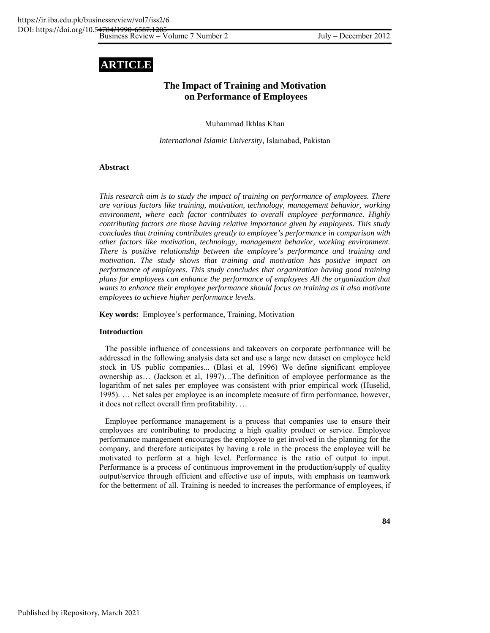## **ARTICLE**

## **The Impact of Training and Motivation on Performance of Employees**

Muhammad Ikhlas Khan

*International Islamic University,* Islamabad, Pakistan

#### **Abstract**

*This research aim is to study the impact of training on performance of employees. There are various factors like training, motivation, technology, management behavior, working environment, where each factor contributes to overall employee performance. Highly contributing factors are those having relative importance given by employees. This study concludes that training contributes greatly to employee's performance in comparison with other factors like motivation, technology, management behavior, working environment. There is positive relationship between the employee's performance and training and motivation. The study shows that training and motivation has positive impact on performance of employees. This study concludes that organization having good training plans for employees can enhance the performance of employees All the organization that wants to enhance their employee performance should focus on training as it also motivate employees to achieve higher performance levels.* 

**Key words:** Employee's performance, Training, Motivation

#### **Introduction**

The possible influence of concessions and takeovers on corporate performance will be addressed in the following analysis data set and use a large new dataset on employee held stock in US public companies... (Blasi et al, 1996) We define significant employee ownership as… (Jackson et al, 1997)…The definition of employee performance as the logarithm of net sales per employee was consistent with prior empirical work (Huselid, 1995). … Net sales per employee is an incomplete measure of firm performance, however, it does not reflect overall firm profitability. …

Employee performance management is a process that companies use to ensure their employees are contributing to producing a high quality product or service. Employee performance management encourages the employee to get involved in the planning for the company, and therefore anticipates by having a role in the process the employee will be motivated to perform at a high level. Performance is the ratio of output to input. Performance is a process of continuous improvement in the production/supply of quality output/service through efficient and effective use of inputs, with emphasis on teamwork for the betterment of all. Training is needed to increases the performance of employees, if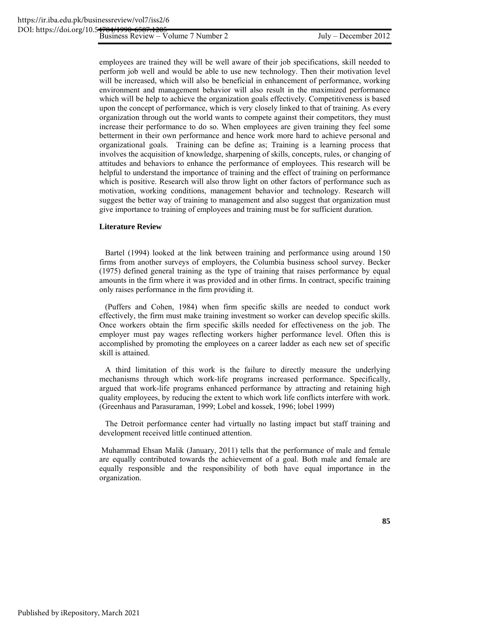employees are trained they will be well aware of their job specifications, skill needed to perform job well and would be able to use new technology. Then their motivation level will be increased, which will also be beneficial in enhancement of performance, working environment and management behavior will also result in the maximized performance which will be help to achieve the organization goals effectively. Competitiveness is based upon the concept of performance, which is very closely linked to that of training. As every organization through out the world wants to compete against their competitors, they must increase their performance to do so. When employees are given training they feel some betterment in their own performance and hence work more hard to achieve personal and organizational goals. Training can be define as; Training is a learning process that involves the acquisition of knowledge, sharpening of skills, concepts, rules, or changing of attitudes and behaviors to enhance the performance of employees. This research will be helpful to understand the importance of training and the effect of training on performance which is positive. Research will also throw light on other factors of performance such as motivation, working conditions, management behavior and technology. Research will suggest the better way of training to management and also suggest that organization must give importance to training of employees and training must be for sufficient duration.

#### **Literature Review**

Bartel (1994) looked at the link between training and performance using around 150 firms from another surveys of employers, the Columbia business school survey. Becker (1975) defined general training as the type of training that raises performance by equal amounts in the firm where it was provided and in other firms. In contract, specific training only raises performance in the firm providing it.

(Puffers and Cohen, 1984) when firm specific skills are needed to conduct work effectively, the firm must make training investment so worker can develop specific skills. Once workers obtain the firm specific skills needed for effectiveness on the job. The employer must pay wages reflecting workers higher performance level. Often this is accomplished by promoting the employees on a career ladder as each new set of specific skill is attained.

A third limitation of this work is the failure to directly measure the underlying mechanisms through which work-life programs increased performance. Specifically, argued that work-life programs enhanced performance by attracting and retaining high quality employees, by reducing the extent to which work life conflicts interfere with work. (Greenhaus and Parasuraman, 1999; Lobel and kossek, 1996; lobel 1999)

The Detroit performance center had virtually no lasting impact but staff training and development received little continued attention.

 Muhammad Ehsan Malik (January, 2011) tells that the performance of male and female are equally contributed towards the achievement of a goal. Both male and female are equally responsible and the responsibility of both have equal importance in the organization.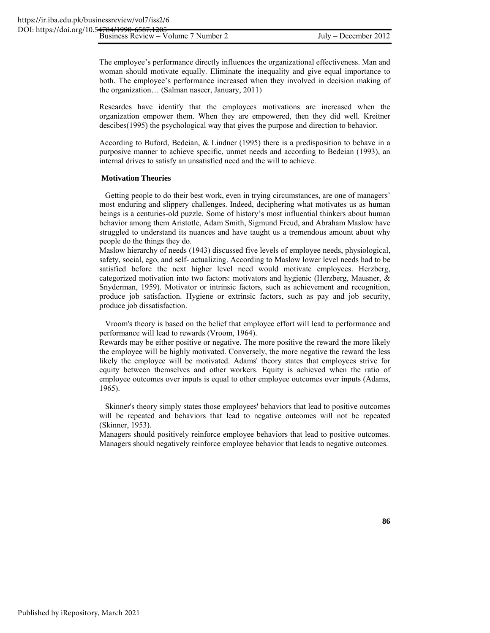The employee's performance directly influences the organizational effectiveness. Man and woman should motivate equally. Eliminate the inequality and give equal importance to both. The employee's performance increased when they involved in decision making of the organization… (Salman naseer, January, 2011)

Researdes have identify that the employees motivations are increased when the organization empower them. When they are empowered, then they did well. Kreitner descibes(1995) the psychological way that gives the purpose and direction to behavior.

According to Buford, Bedeian, & Lindner (1995) there is a predisposition to behave in a purposive manner to achieve specific, unmet needs and according to Bedeian (1993), an internal drives to satisfy an unsatisfied need and the will to achieve.

#### **Motivation Theories**

Getting people to do their best work, even in trying circumstances, are one of managers' most enduring and slippery challenges. Indeed, deciphering what motivates us as human beings is a centuries-old puzzle. Some of history's most influential thinkers about human behavior among them Aristotle, Adam Smith, Sigmund Freud, and Abraham Maslow have struggled to understand its nuances and have taught us a tremendous amount about why people do the things they do.

Maslow hierarchy of needs (1943) discussed five levels of employee needs, physiological, safety, social, ego, and self- actualizing. According to Maslow lower level needs had to be satisfied before the next higher level need would motivate employees. Herzberg, categorized motivation into two factors: motivators and hygienic (Herzberg, Mausner, & Snyderman, 1959). Motivator or intrinsic factors, such as achievement and recognition, produce job satisfaction. Hygiene or extrinsic factors, such as pay and job security, produce job dissatisfaction.

Vroom's theory is based on the belief that employee effort will lead to performance and performance will lead to rewards (Vroom, 1964).

Rewards may be either positive or negative. The more positive the reward the more likely the employee will be highly motivated. Conversely, the more negative the reward the less likely the employee will be motivated. Adams' theory states that employees strive for equity between themselves and other workers. Equity is achieved when the ratio of employee outcomes over inputs is equal to other employee outcomes over inputs (Adams, 1965).

Skinner's theory simply states those employees' behaviors that lead to positive outcomes will be repeated and behaviors that lead to negative outcomes will not be repeated (Skinner, 1953).

Managers should positively reinforce employee behaviors that lead to positive outcomes. Managers should negatively reinforce employee behavior that leads to negative outcomes.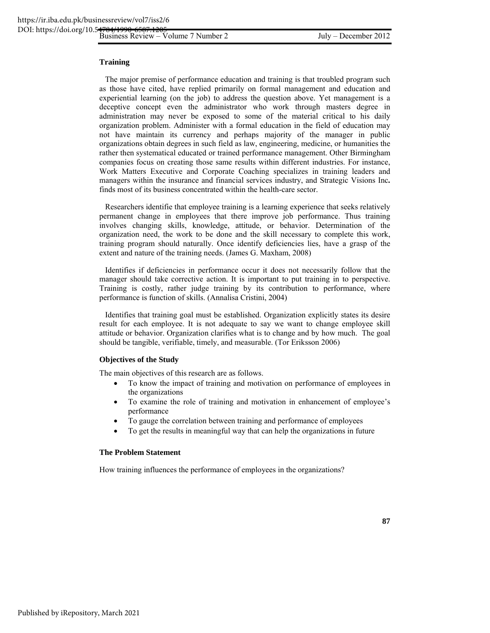#### **Training**

The major premise of performance education and training is that troubled program such as those have cited, have replied primarily on formal management and education and experiential learning (on the job) to address the question above. Yet management is a deceptive concept even the administrator who work through masters degree in administration may never be exposed to some of the material critical to his daily organization problem. Administer with a formal education in the field of education may not have maintain its currency and perhaps majority of the manager in public organizations obtain degrees in such field as law, engineering, medicine, or humanities the rather then systematical educated or trained performance management. Other Birmingham companies focus on creating those same results within different industries. For instance, Work Matters Executive and Corporate Coaching specializes in training leaders and managers within the insurance and financial services industry, and Strategic Visions Inc**.** finds most of its business concentrated within the health-care sector.

Researchers identifie that employee training is a learning experience that seeks relatively permanent change in employees that there improve job performance. Thus training involves changing skills, knowledge, attitude, or behavior. Determination of the organization need, the work to be done and the skill necessary to complete this work, training program should naturally. Once identify deficiencies lies, have a grasp of the extent and nature of the training needs. (James G. Maxham, 2008)

Identifies if deficiencies in performance occur it does not necessarily follow that the manager should take corrective action. It is important to put training in to perspective. Training is costly, rather judge training by its contribution to performance, where performance is function of skills. (Annalisa Cristini, 2004)

Identifies that training goal must be established. Organization explicitly states its desire result for each employee. It is not adequate to say we want to change employee skill attitude or behavior. Organization clarifies what is to change and by how much. The goal should be tangible, verifiable, timely, and measurable. (Tor Eriksson 2006)

#### **Objectives of the Study**

The main objectives of this research are as follows.

- To know the impact of training and motivation on performance of employees in the organizations
- To examine the role of training and motivation in enhancement of employee's performance
- To gauge the correlation between training and performance of employees
- To get the results in meaningful way that can help the organizations in future

#### **The Problem Statement**

How training influences the performance of employees in the organizations?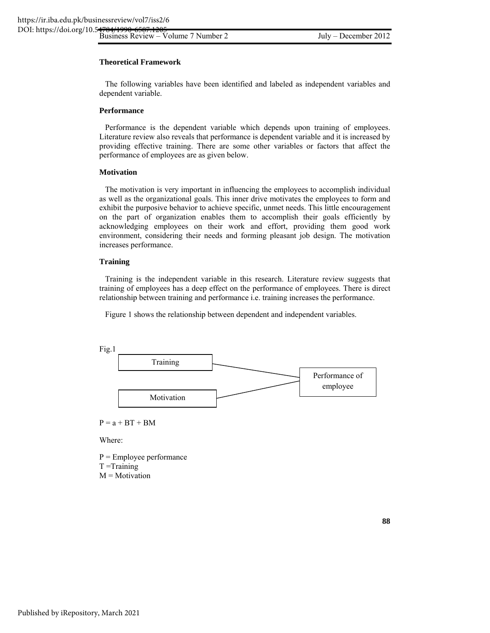#### **Theoretical Framework**

The following variables have been identified and labeled as independent variables and dependent variable.

#### **Performance**

Performance is the dependent variable which depends upon training of employees. Literature review also reveals that performance is dependent variable and it is increased by providing effective training. There are some other variables or factors that affect the performance of employees are as given below.

#### **Motivation**

The motivation is very important in influencing the employees to accomplish individual as well as the organizational goals. This inner drive motivates the employees to form and exhibit the purposive behavior to achieve specific, unmet needs. This little encouragement on the part of organization enables them to accomplish their goals efficiently by acknowledging employees on their work and effort, providing them good work environment, considering their needs and forming pleasant job design. The motivation increases performance.

#### **Training**

Training is the independent variable in this research. Literature review suggests that training of employees has a deep effect on the performance of employees. There is direct relationship between training and performance i.e. training increases the performance.

Figure 1 shows the relationship between dependent and independent variables.



 $P = a + BT + BM$ 

Where:

 $P =$  Employee performance  $T = Triaining$  $M = Motivation$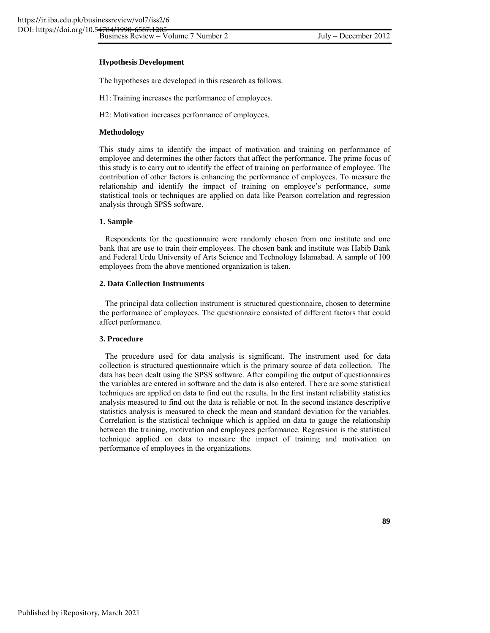#### **Hypothesis Development**

The hypotheses are developed in this research as follows.

H1: Training increases the performance of employees.

H2: Motivation increases performance of employees.

#### **Methodology**

This study aims to identify the impact of motivation and training on performance of employee and determines the other factors that affect the performance. The prime focus of this study is to carry out to identify the effect of training on performance of employee. The contribution of other factors is enhancing the performance of employees. To measure the relationship and identify the impact of training on employee's performance, some statistical tools or techniques are applied on data like Pearson correlation and regression analysis through SPSS software.

#### **1. Sample**

Respondents for the questionnaire were randomly chosen from one institute and one bank that are use to train their employees. The chosen bank and institute was Habib Bank and Federal Urdu University of Arts Science and Technology Islamabad. A sample of 100 employees from the above mentioned organization is taken.

#### **2. Data Collection Instruments**

The principal data collection instrument is structured questionnaire, chosen to determine the performance of employees. The questionnaire consisted of different factors that could affect performance.

#### **3. Procedure**

The procedure used for data analysis is significant. The instrument used for data collection is structured questionnaire which is the primary source of data collection. The data has been dealt using the SPSS software. After compiling the output of questionnaires the variables are entered in software and the data is also entered. There are some statistical techniques are applied on data to find out the results. In the first instant reliability statistics analysis measured to find out the data is reliable or not. In the second instance descriptive statistics analysis is measured to check the mean and standard deviation for the variables. Correlation is the statistical technique which is applied on data to gauge the relationship between the training, motivation and employees performance. Regression is the statistical technique applied on data to measure the impact of training and motivation on performance of employees in the organizations.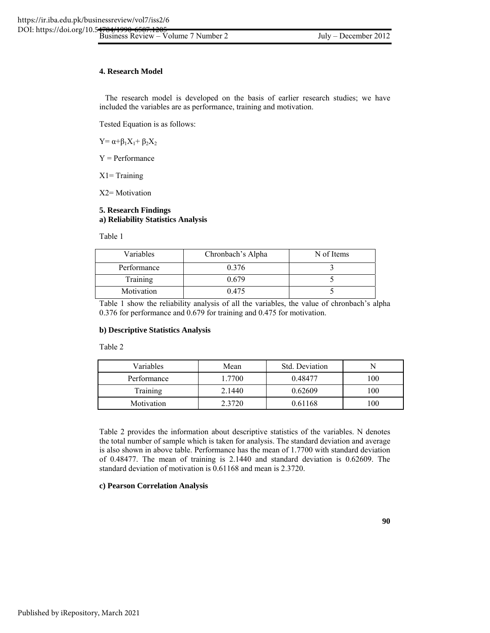#### **4. Research Model**

The research model is developed on the basis of earlier research studies; we have included the variables are as performance, training and motivation.

Tested Equation is as follows:

 $Y = \alpha + \beta_1 X_1 + \beta_2 X_2$ 

Y = Performance

 $X1 =$ Training

X2= Motivation

#### **5. Research Findings a) Reliability Statistics Analysis**

Table 1

| Variables   | Chronbach's Alpha | N of Items |
|-------------|-------------------|------------|
| Performance | 0.376             |            |
| Training    | 0.679             |            |
| Motivation  | 0.475             |            |

Table 1 show the reliability analysis of all the variables, the value of chronbach's alpha 0.376 for performance and 0.679 for training and 0.475 for motivation.

#### **b) Descriptive Statistics Analysis**

Table 2

| Variables       | Mean   | Std. Deviation |     |
|-----------------|--------|----------------|-----|
| Performance     | 1.7700 | 0.48477        | 100 |
| <b>Training</b> | 2.1440 | 0.62609        | 100 |
| Motivation      | 2.3720 | 0.61168        | 100 |

Table 2 provides the information about descriptive statistics of the variables. N denotes the total number of sample which is taken for analysis. The standard deviation and average is also shown in above table. Performance has the mean of 1.7700 with standard deviation of 0.48477. The mean of training is 2.1440 and standard deviation is 0.62609. The standard deviation of motivation is 0.61168 and mean is 2.3720.

#### **c) Pearson Correlation Analysis**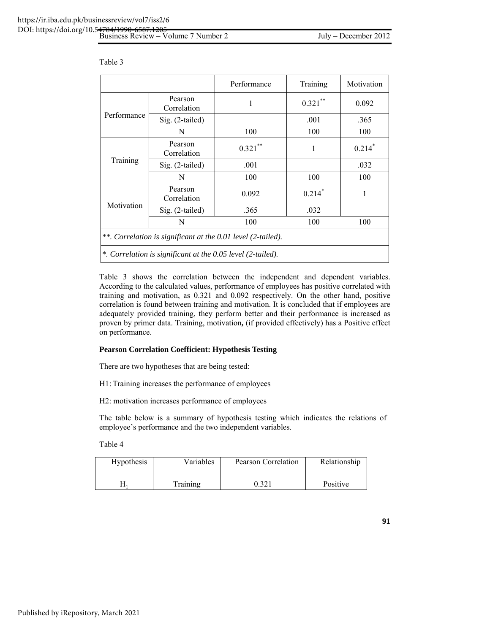|                                                              |                        | Performance | Training             | Motivation           |  |  |
|--------------------------------------------------------------|------------------------|-------------|----------------------|----------------------|--|--|
|                                                              | Pearson<br>Correlation | 1           | $0.321***$           | 0.092                |  |  |
| Performance                                                  | Sig. (2-tailed)        |             | .001                 | .365                 |  |  |
|                                                              | N                      | 100         | 100                  | 100                  |  |  |
|                                                              | Pearson<br>Correlation | $0.321***$  | 1                    | $0.214$ <sup>*</sup> |  |  |
| Training                                                     | Sig. (2-tailed)        | .001        |                      | .032                 |  |  |
|                                                              | N                      | 100         | 100                  | 100                  |  |  |
|                                                              | Pearson<br>Correlation | 0.092       | $0.214$ <sup>*</sup> | 1                    |  |  |
| Motivation                                                   | Sig. (2-tailed)        | .365        | .032                 |                      |  |  |
|                                                              | N                      | 100         | 100                  | 100                  |  |  |
| **. Correlation is significant at the 0.01 level (2-tailed). |                        |             |                      |                      |  |  |
| *. Correlation is significant at the 0.05 level (2-tailed).  |                        |             |                      |                      |  |  |

Table 3

Table 3 shows the correlation between the independent and dependent variables. According to the calculated values, performance of employees has positive correlated with training and motivation, as 0.321 and 0.092 respectively. On the other hand, positive correlation is found between training and motivation. It is concluded that if employees are adequately provided training, they perform better and their performance is increased as proven by primer data. Training, motivation**,** (if provided effectively) has a Positive effect on performance.

#### **Pearson Correlation Coefficient: Hypothesis Testing**

There are two hypotheses that are being tested:

H1: Training increases the performance of employees

H2: motivation increases performance of employees

The table below is a summary of hypothesis testing which indicates the relations of employee's performance and the two independent variables.

Table 4

| Hypothesis | Variables | Pearson Correlation | Relationship |
|------------|-----------|---------------------|--------------|
|            | Training  | 0.321               | Positive     |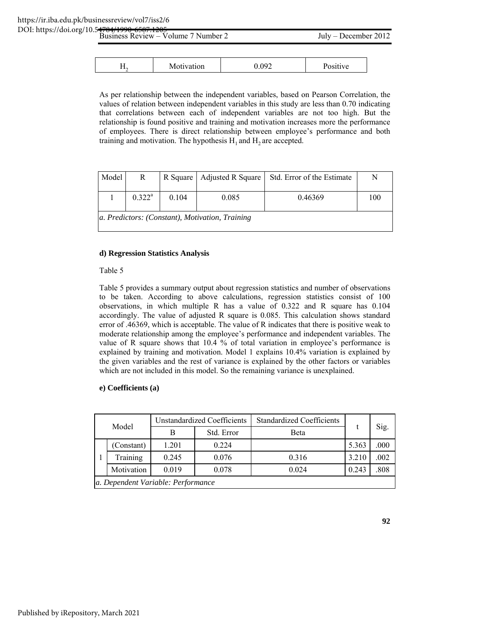| Business Review – Volume 7 Number 2 |            |       | $July - December 2012$ |  |  |
|-------------------------------------|------------|-------|------------------------|--|--|
|                                     |            |       |                        |  |  |
|                                     | Motivation | ን 092 | Positive               |  |  |

As per relationship between the independent variables, based on Pearson Correlation, the values of relation between independent variables in this study are less than 0.70 indicating that correlations between each of independent variables are not too high. But the relationship is found positive and training and motivation increases more the performance of employees. There is direct relationship between employee's performance and both training and motivation. The hypothesis  $H_1$  and  $H_2$  are accepted.

| Model                                           | R         |       | R Square   Adjusted R Square | Std. Error of the Estimate | N   |  |
|-------------------------------------------------|-----------|-------|------------------------------|----------------------------|-----|--|
|                                                 | $0.322^a$ | 0.104 | 0.085                        | 0.46369                    | 100 |  |
| a. Predictors: (Constant), Motivation, Training |           |       |                              |                            |     |  |

#### **d) Regression Statistics Analysis**

#### Table 5

Table 5 provides a summary output about regression statistics and number of observations to be taken. According to above calculations, regression statistics consist of 100 observations, in which multiple R has a value of 0.322 and R square has 0.104 accordingly. The value of adjusted R square is 0.085. This calculation shows standard error of .46369, which is acceptable. The value of R indicates that there is positive weak to moderate relationship among the employee's performance and independent variables. The value of R square shows that 10.4 % of total variation in employee's performance is explained by training and motivation. Model 1 explains 10.4% variation is explained by the given variables and the rest of variance is explained by the other factors or variables which are not included in this model. So the remaining variance is unexplained.

#### **e) Coefficients (a)**

| Model                              |            | <b>Unstandardized Coefficients</b> |            | <b>Standardized Coefficients</b> |       |      |
|------------------------------------|------------|------------------------------------|------------|----------------------------------|-------|------|
|                                    |            | В                                  | Std. Error | Beta                             |       | Sig. |
|                                    | (Constant) | 1.201                              | 0.224      |                                  | 5.363 | .000 |
|                                    | Training   | 0.245                              | 0.076      | 0.316                            | 3.210 | .002 |
|                                    | Motivation | 0.019                              | 0.078      | 0.024                            | 0.243 | .808 |
| a. Dependent Variable: Performance |            |                                    |            |                                  |       |      |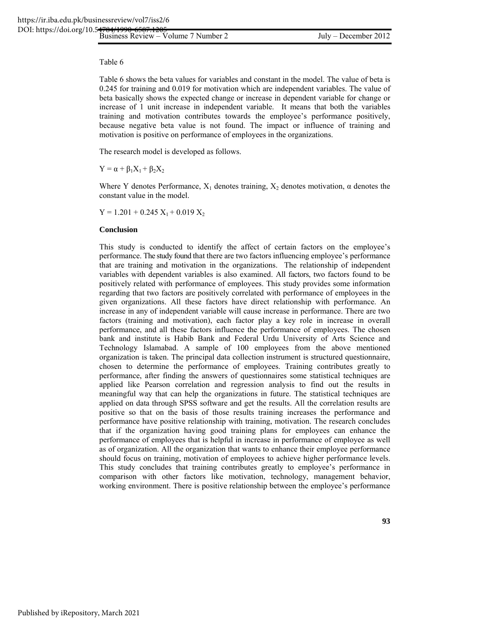#### Table 6

Table 6 shows the beta values for variables and constant in the model. The value of beta is 0.245 for training and 0.019 for motivation which are independent variables. The value of beta basically shows the expected change or increase in dependent variable for change or increase of 1 unit increase in independent variable. It means that both the variables training and motivation contributes towards the employee's performance positively, because negative beta value is not found. The impact or influence of training and motivation is positive on performance of employees in the organizations.

The research model is developed as follows.

 $Y = \alpha + \beta_1 X_1 + \beta_2 X_2$ 

Where Y denotes Performance,  $X_1$  denotes training,  $X_2$  denotes motivation,  $\alpha$  denotes the constant value in the model.

 $Y = 1.201 + 0.245 X_1 + 0.019 X_2$ 

#### **Conclusion**

This study is conducted to identify the affect of certain factors on the employee's performance. The study found that there are two factors influencing employee's performance that are training and motivation in the organizations. The relationship of independent variables with dependent variables is also examined. All factors, two factors found to be positively related with performance of employees. This study provides some information regarding that two factors are positively correlated with performance of employees in the given organizations. All these factors have direct relationship with performance. An increase in any of independent variable will cause increase in performance. There are two factors (training and motivation), each factor play a key role in increase in overall performance, and all these factors influence the performance of employees. The chosen bank and institute is Habib Bank and Federal Urdu University of Arts Science and Technology Islamabad. A sample of 100 employees from the above mentioned organization is taken. The principal data collection instrument is structured questionnaire, chosen to determine the performance of employees. Training contributes greatly to performance, after finding the answers of questionnaires some statistical techniques are applied like Pearson correlation and regression analysis to find out the results in meaningful way that can help the organizations in future. The statistical techniques are applied on data through SPSS software and get the results. All the correlation results are positive so that on the basis of those results training increases the performance and performance have positive relationship with training, motivation. The research concludes that if the organization having good training plans for employees can enhance the performance of employees that is helpful in increase in performance of employee as well as of organization. All the organization that wants to enhance their employee performance should focus on training, motivation of employees to achieve higher performance levels. This study concludes that training contributes greatly to employee's performance in comparison with other factors like motivation, technology, management behavior, working environment. There is positive relationship between the employee's performance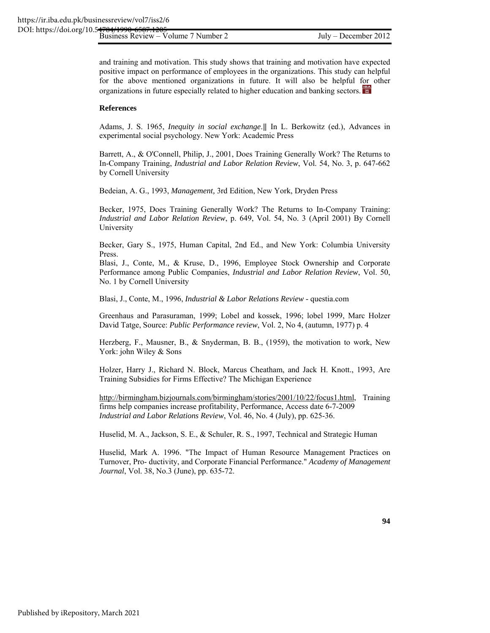and training and motivation. This study shows that training and motivation have expected positive impact on performance of employees in the organizations. This study can helpful for the above mentioned organizations in future. It will also be helpful for other organizations in future especially related to higher education and banking sectors.

#### **References**

Adams, J. S. 1965, *Inequity in social exchange*. | In L. Berkowitz (ed.), Advances in experimental social psychology. New York: Academic Press

Barrett, A., & O'Connell, Philip, J., 2001, Does Training Generally Work? The Returns to In-Company Training, *Industrial and Labor Relation Review*, Vol. 54, No. 3, p. 647-662 by Cornell University

Bedeian, A. G., 1993, *Management,* 3rd Edition, New York, Dryden Press

Becker, 1975, Does Training Generally Work? The Returns to In-Company Training: *Industrial and Labor Relation Review*, p. 649, Vol. 54, No. 3 (April 2001) By Cornell University

Becker, Gary S., 1975, Human Capital, 2nd Ed., and New York: Columbia University Press.

Blasi, J., Conte, M., & Kruse, D., 1996, Employee Stock Ownership and Corporate Performance among Public Companies, *Industrial and Labor Relation Review*, Vol. 50, No. 1 by Cornell University

Blasi, J., Conte, M., 1996, *Industrial & Labor Relations Review* - questia.com

Greenhaus and Parasuraman, 1999; Lobel and kossek, 1996; lobel 1999, Marc Holzer David Tatge, Source: *Public Performance review*, Vol. 2, No 4, (autumn, 1977) p. 4

Herzberg, F., Mausner, B., & Snyderman, B. B., (1959), the motivation to work, New York: john Wiley & Sons

Holzer, Harry J., Richard N. Block, Marcus Cheatham, and Jack H. Knott., 1993, Are Training Subsidies for Firms Effective? The Michigan Experience

http://birmingham.bizjournals.com/birmingham/stories/2001/10/22/focus1.html, Training firms help companies increase profitability, Performance, Access date 6-7-2009 *Industrial and Labor Relations Review*, Vol. 46, No. 4 (July), pp. 625-36.

Huselid, M. A., Jackson, S. E., & Schuler, R. S., 1997, Technical and Strategic Human

Huselid, Mark A. 1996. "The Impact of Human Resource Management Practices on Turnover, Pro- ductivity, and Corporate Financial Performance." *Academy of Management Journal*, Vol. 38, No.3 (June), pp. 635-72.